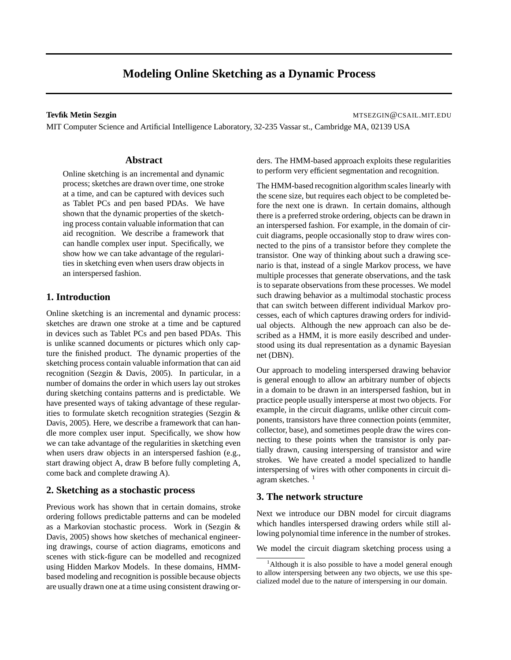# **Modeling Online Sketching as a Dynamic Process**

**Tevfik Metin Sezgin** MTSEZGIN @CSAIL.MIT.EDU

MIT Computer Science and Artificial Intelligence Laboratory, 32-235 Vassar st., Cambridge MA, 02139 USA

## **Abstract**

Online sketching is an incremental and dynamic process; sketches are drawn over time, one stroke at a time, and can be captured with devices such as Tablet PCs and pen based PDAs. We have shown that the dynamic properties of the sketching process contain valuable information that can aid recognition. We describe a framework that can handle complex user input. Specifically, we show how we can take advantage of the regularities in sketching even when users draw objects in an interspersed fashion.

# **1. Introduction**

Online sketching is an incremental and dynamic process: sketches are drawn one stroke at a time and be captured in devices such as Tablet PCs and pen based PDAs. This is unlike scanned documents or pictures which only capture the finished product. The dynamic properties of the sketching process contain valuable information that can aid recognition (Sezgin & Davis, 2005). In particular, in a number of domains the order in which users lay out strokes during sketching contains patterns and is predictable. We have presented ways of taking advantage of these regularities to formulate sketch recognition strategies (Sezgin & Davis, 2005). Here, we describe a framework that can handle more complex user input. Specifically, we show how we can take advantage of the regularities in sketching even when users draw objects in an interspersed fashion (e.g., start drawing object A, draw B before fully completing A, come back and complete drawing A).

# **2. Sketching as a stochastic process**

Previous work has shown that in certain domains, stroke ordering follows predictable patterns and can be modeled as a Markovian stochastic process. Work in (Sezgin & Davis, 2005) shows how sketches of mechanical engineering drawings, course of action diagrams, emoticons and scenes with stick-figure can be modelled and recognized using Hidden Markov Models. In these domains, HMMbased modeling and recognition is possible because objects are usually drawn one at a time using consistent drawing orders. The HMM-based approach exploits these regularities to perform very efficient segmentation and recognition.

The HMM-based recognition algorithm scales linearly with the scene size, but requires each object to be completed before the next one is drawn. In certain domains, although there is a preferred stroke ordering, objects can be drawn in an interspersed fashion. For example, in the domain of circuit diagrams, people occasionally stop to draw wires connected to the pins of a transistor before they complete the transistor. One way of thinking about such a drawing scenario is that, instead of a single Markov process, we have multiple processes that generate observations, and the task is to separate observations from these processes. We model such drawing behavior as a multimodal stochastic process that can switch between different individual Markov processes, each of which captures drawing orders for individual objects. Although the new approach can also be described as a HMM, it is more easily described and understood using its dual representation as a dynamic Bayesian net (DBN).

Our approach to modeling interspersed drawing behavior is general enough to allow an arbitrary number of objects in a domain to be drawn in an interspersed fashion, but in practice people usually intersperse at most two objects. For example, in the circuit diagrams, unlike other circuit components, transistors have three connection points (emmiter, collector, base), and sometimes people draw the wires connecting to these points when the transistor is only partially drawn, causing interspersing of transistor and wire strokes. We have created a model specialized to handle interspersing of wires with other components in circuit diagram sketches.  $<sup>1</sup>$ </sup>

# **3. The network structure**

Next we introduce our DBN model for circuit diagrams which handles interspersed drawing orders while still allowing polynomial time inference in the number of strokes.

We model the circuit diagram sketching process using a

<sup>&</sup>lt;sup>1</sup>Although it is also possible to have a model general enough to allow interspersing between any two objects, we use this specialized model due to the nature of interspersing in our domain.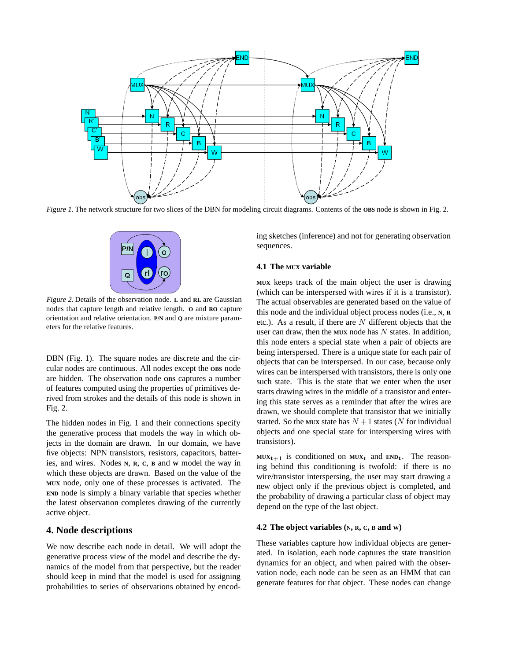

Figure 1. The network structure for two slices of the DBN for modeling circuit diagrams. Contents of the **OBS** node is shown in Fig. 2.



Figure 2. Details of the observation node. **L** and **RL** are Gaussian nodes that capture length and relative length. **O** and **RO** capture orientation and relative orientation. **P/N** and **Q** are mixture parameters for the relative features.

DBN (Fig. 1). The square nodes are discrete and the circular nodes are continuous. All nodes except the **OBS** node are hidden. The observation node **OBS** captures a number of features computed using the properties of primitives derived from strokes and the details of this node is shown in Fig. 2.

The hidden nodes in Fig. 1 and their connections specify the generative process that models the way in which objects in the domain are drawn. In our domain, we have five objects: NPN transistors, resistors, capacitors, batteries, and wires. Nodes **<sup>N</sup>**, **<sup>R</sup>**, **<sup>C</sup>**, **<sup>B</sup>** and **<sup>W</sup>** model the way in which these objects are drawn. Based on the value of the **MUX** node, only one of these processes is activated. The **END** node is simply a binary variable that species whether the latest observation completes drawing of the currently active object.

# **4. Node descriptions**

We now describe each node in detail. We will adopt the generative process view of the model and describe the dynamics of the model from that perspective, but the reader should keep in mind that the model is used for assigning probabilities to series of observations obtained by encoding sketches (inference) and not for generating observation sequences.

#### **4.1 The MUX variable**

**MUX** keeps track of the main object the user is drawing (which can be interspersed with wires if it is a transistor). The actual observables are generated based on the value of this node and the individual object process nodes (i.e., **<sup>N</sup>**, **<sup>R</sup>** etc.). As a result, if there are *N* different objects that the user can draw, then the **MUX** node has *N* states. In addition, this node enters a special state when a pair of objects are being interspersed. There is a unique state for each pair of objects that can be interspersed. In our case, because only wires can be interspersed with transistors, there is only one such state. This is the state that we enter when the user starts drawing wires in the middle of a transistor and entering this state serves as a reminder that after the wires are drawn, we should complete that transistor that we initially started. So the MUX state has  $N+1$  states (*N* for individual objects and one special state for interspersing wires with transistors).

 $MUX_{t+1}$  is conditioned on  $MUX_t$  and  $END_t$ . The reasoning behind this conditioning is twofold: if there is no wire/transistor interspersing, the user may start drawing a new object only if the previous object is completed, and the probability of drawing a particular class of object may depend on the type of the last object.

# **4.2 The object variables (N, R, C, <sup>B</sup> and W)**

These variables capture how individual objects are generated. In isolation, each node captures the state transition dynamics for an object, and when paired with the observation node, each node can be seen as an HMM that can generate features for that object. These nodes can change